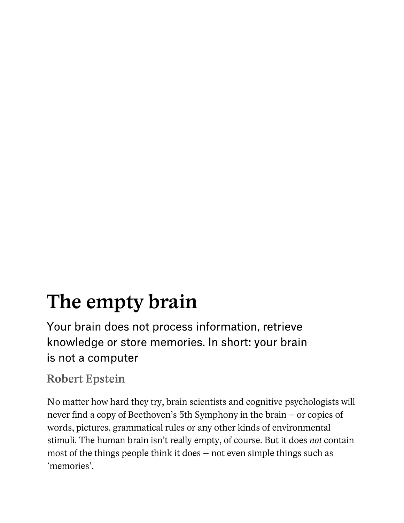## **The empty brain**

Your brain does not process information, retrieve knowledge or store memories. In short: your brain is not a computer

## **Robert Epstein**

No matter how hard they try, brain scientists and cognitive psychologists will never find a copy of Beethoven's 5th Symphony in the brain – or copies of words, pictures, grammatical rules or any other kinds of environmental stimuli. The human brain isn't really empty, of course. But it does *not* contain most of the things people think it does – not even simple things such as 'memories'.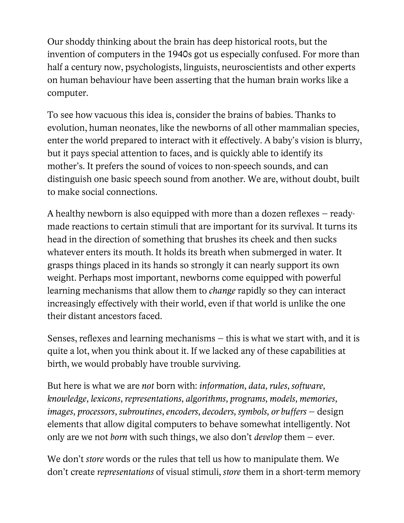Our shoddy thinking about the brain has deep historical roots, but the invention of computers in the 1940s got us especially confused. For more than half a century now, psychologists, linguists, neuroscientists and other experts on human behaviour have been asserting that the human brain works like a computer.

To see how vacuous this idea is, consider the brains of babies. Thanks to evolution, human neonates, like the newborns of all other mammalian species, enter the world prepared to interact with it effectively. A baby's vision is blurry, but it pays special attention to faces, and is quickly able to identify its mother's. It prefers the sound of voices to non-speech sounds, and can distinguish one basic speech sound from another. We are, without doubt, built to make social connections.

A healthy newborn is also equipped with more than a dozen reflexes – readymade reactions to certain stimuli that are important for its survival. It turns its head in the direction of something that brushes its cheek and then sucks whatever enters its mouth. It holds its breath when submerged in water. It grasps things placed in its hands so strongly it can nearly support its own weight. Perhaps most important, newborns come equipped with powerful learning mechanisms that allow them to *change* rapidly so they can interact increasingly effectively with their world, even if that world is unlike the one their distant ancestors faced.

Senses, reflexes and learning mechanisms – this is what we start with, and it is quite a lot, when you think about it. If we lacked any of these capabilities at birth, we would probably have trouble surviving.

But here is what we are *not* born with: *information, data, rules, software, knowledge, lexicons, representations, algorithms, programs, models, memories, images, processors, subroutines, encoders, decoders, symbols, or buffers* – design elements that allow digital computers to behave somewhat intelligently. Not only are we not *born* with such things, we also don't *develop* them – ever.

We don't *store* words or the rules that tell us how to manipulate them. We don't create *representations* of visual stimuli, *store* them in a short-term memory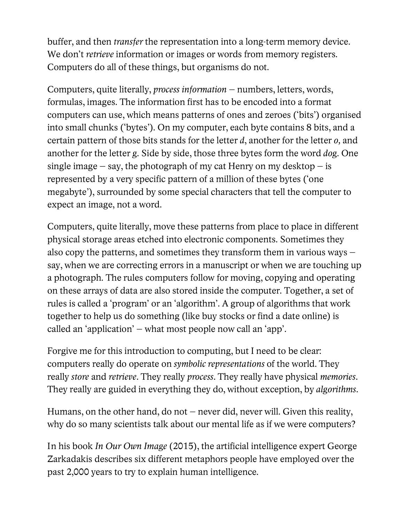buffer, and then *transfer* the representation into a long-term memory device. We don't *retrieve* information or images or words from memory registers. Computers do all of these things, but organisms do not.

Computers, quite literally, *process information* – numbers, letters, words, formulas, images. The information first has to be encoded into a format computers can use, which means patterns of ones and zeroes ('bits') organised into small chunks ('bytes'). On my computer, each byte contains 8 bits, and a certain pattern of those bits stands for the letter *d*, another for the letter *o,* and another for the letter *g*. Side by side, those three bytes form the word *dog*. One single image – say, the photograph of my cat Henry on my desktop – is represented by a very specific pattern of a million of these bytes ('one megabyte'), surrounded by some special characters that tell the computer to expect an image, not a word.

Computers, quite literally, move these patterns from place to place in different physical storage areas etched into electronic components. Sometimes they also copy the patterns, and sometimes they transform them in various ways – say, when we are correcting errors in a manuscript or when we are touching up a photograph. The rules computers follow for moving, copying and operating on these arrays of data are also stored inside the computer. Together, a set of rules is called a 'program' or an 'algorithm'. A group of algorithms that work together to help us do something (like buy stocks or find a date online) is called an 'application' – what most people now call an 'app'.

Forgive me for this introduction to computing, but I need to be clear: computers really do operate on *symbolic representations* of the world. They really *store* and *retrieve*. They really *process*. They really have physical *memories*. They really are guided in everything they do, without exception, by *algorithms*.

Humans, on the other hand, do not – never did, never will. Given this reality, why do so many scientists talk about our mental life as if we were computers?

n his book *In Our Own Image* (2015), the artificial intelligence expert George IZarkadakis describes six different metaphors people have employed over the past 2,000 years to try to explain human intelligence.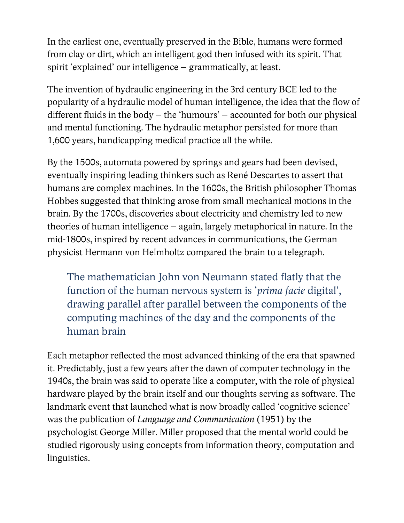In the earliest one, eventually preserved in the Bible, humans were formed from clay or dirt, which an intelligent god then infused with its spirit. That spirit 'explained' our intelligence – grammatically, at least.

The invention of hydraulic engineering in the 3rd century BCE led to the popularity of a hydraulic model of human intelligence, the idea that the flow of different fluids in the body – the 'humours' – accounted for both our physical and mental functioning. The hydraulic metaphor persisted for more than 1,600 years, handicapping medical practice all the while.

By the 1500s, automata powered by springs and gears had been devised, eventually inspiring leading thinkers such as René Descartes to assert that humans are complex machines. In the 1600s, the British philosopher Thomas Hobbes suggested that thinking arose from small mechanical motions in the brain. By the 1700s, discoveries about electricity and chemistry led to new theories of human intelligence – again, largely metaphorical in nature. In the mid-1800s, inspired by recent advances in communications, the German physicist Hermann von Helmholtz compared the brain to a telegraph.

The mathematician John von Neumann stated flatly that the function of the human nervous system is '*prima facie* digital', drawing parallel after parallel between the components of the computing machines of the day and the components of the human brain

Each metaphor reflected the most advanced thinking of the era that spawned it. Predictably, just a few years after the dawn of computer technology in the 1940s, the brain was said to operate like a computer, with the role of physical hardware played by the brain itself and our thoughts serving as software. The landmark event that launched what is now broadly called 'cognitive science' was the publication of *Language and Communication* (1951) by the psychologist George Miller. Miller proposed that the mental world could be studied rigorously using concepts from information theory, computation and linguistics.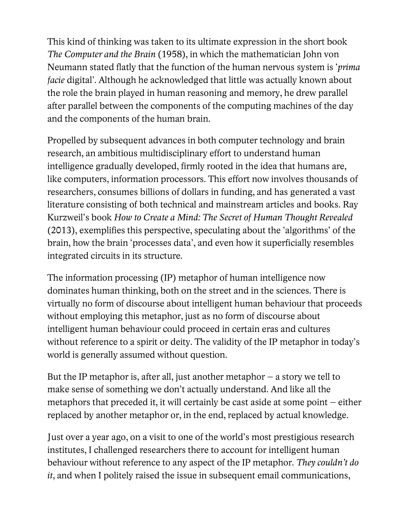This kind of thinking was taken to its ultimate expression in the short book *The Computer and the Brain* (1958), in which the mathematician John von Neumann stated flatly that the function of the human nervous system is '*prima facie* digital'. Although he acknowledged that little was actually known about the role the brain played in human reasoning and memory, he drew parallel after parallel between the components of the computing machines of the day and the components of the human brain.

Propelled by subsequent advances in both computer technology and brain research, an ambitious multidisciplinary effort to understand human intelligence gradually developed, firmly rooted in the idea that humans are, like computers, information processors. This effort now involves thousands of researchers, consumes billions of dollars in funding, and has generated a vast literature consisting of both technical and mainstream articles and books. Ray Kurzweil's book *How to Create a Mind: The Secret of Human Thought Revealed* (2013), exemplifies this perspective, speculating about the 'algorithms' of the brain, how the brain 'processes data', and even how it superficially resembles integrated circuits in its structure.

The information processing (IP) metaphor of human intelligence now dominates human thinking, both on the street and in the sciences. There is virtually no form of discourse about intelligent human behaviour that proceeds without employing this metaphor, just as no form of discourse about intelligent human behaviour could proceed in certain eras and cultures without reference to a spirit or deity. The validity of the IP metaphor in today's world is generally assumed without question.

But the IP metaphor is, after all, just another metaphor  $-$  a story we tell to make sense of something we don't actually understand. And like all the metaphors that preceded it, it will certainly be cast aside at some point – either replaced by another metaphor or, in the end, replaced by actual knowledge.

Just over a year ago, on a visit to one of the world's most prestigious research institutes, I challenged researchers there to account for intelligent human behaviour without reference to any aspect of the IP metaphor. *They couldn't do it*, and when I politely raised the issue in subsequent email communications,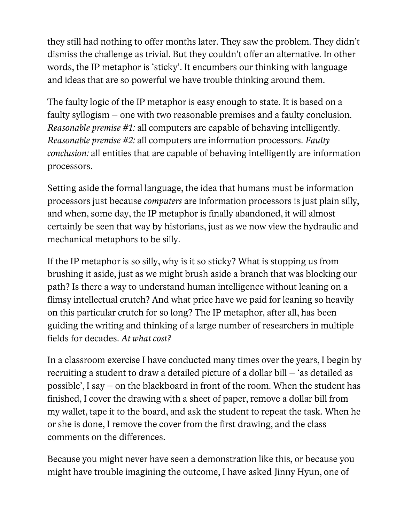they still had nothing to offer months later. They saw the problem. They didn't dismiss the challenge as trivial. But they couldn't offer an alternative. In other words, the IP metaphor is 'sticky'. It encumbers our thinking with language and ideas that are so powerful we have trouble thinking around them.

The faulty logic of the IP metaphor is easy enough to state. It is based on a faulty syllogism – one with two reasonable premises and a faulty conclusion. *Reasonable premise #1:* all computers are capable of behaving intelligently. *Reasonable premise #2:* all computers are information processors. *Faulty conclusion:* all entities that are capable of behaving intelligently are information processors.

Setting aside the formal language, the idea that humans must be information processors just because *computers* are information processors is just plain silly, and when, some day, the IP metaphor is finally abandoned, it will almost certainly be seen that way by historians, just as we now view the hydraulic and mechanical metaphors to be silly.

If the IP metaphor is so silly, why is it so sticky? What is stopping us from brushing it aside, just as we might brush aside a branch that was blocking our path? Is there a way to understand human intelligence without leaning on a flimsy intellectual crutch? And what price have we paid for leaning so heavily on this particular crutch for so long? The IP metaphor, after all, has been guiding the writing and thinking of a large number of researchers in multiple fields for decades. *At what cost?*

In a classroom exercise I have conducted many times over the years, I begin by recruiting a student to draw a detailed picture of a dollar bill – 'as detailed as possible', I say – on the blackboard in front of the room. When the student has finished, I cover the drawing with a sheet of paper, remove a dollar bill from my wallet, tape it to the board, and ask the student to repeat the task. When he or she is done, I remove the cover from the first drawing, and the class comments on the differences.

Because you might never have seen a demonstration like this, or because you might have trouble imagining the outcome, I have asked Jinny Hyun, one of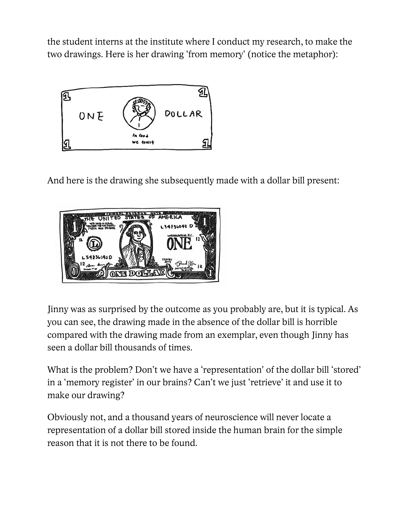the student interns at the institute where I conduct my research, to make the two drawings. Here is her drawing 'from memory' (notice the metaphor):



And here is the drawing she subsequently made with a dollar bill present:



Jinny was as surprised by the outcome as you probably are, but it is typical. As you can see, the drawing made in the absence of the dollar bill is horrible compared with the drawing made from an exemplar, even though Jinny has seen a dollar bill thousands of times.

What is the problem? Don't we have a 'representation' of the dollar bill 'stored' in a 'memory register' in our brains? Can't we just 'retrieve' it and use it to make our drawing?

Obviously not, and a thousand years of neuroscience will never locate a representation of a dollar bill stored inside the human brain for the simple reason that it is not there to be found.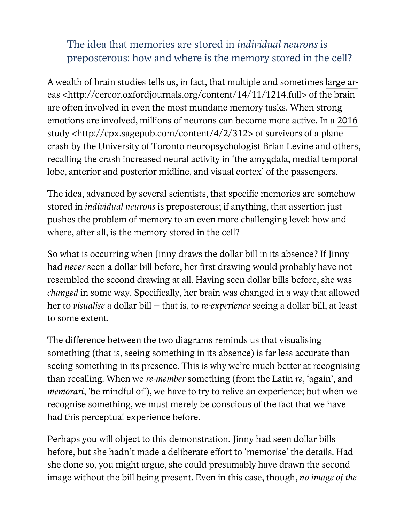## The idea that memories are stored in *individual neurons* is preposterous: how and where is the memory stored in the cell?

A wealth of brain studies tells us, in fact, that multiple and sometimes large areas <http://cercor.oxfordjournals.org/content/14/11/1214.full> of the brain are often involved in even the most mundane memory tasks. When strong emotions are involved, millions of neurons can become more active. In a 2016 study <http://cpx.sagepub.com/content/4/2/312> of survivors of a plane crash by the University of Toronto neuropsychologist Brian Levine and others, recalling the crash increased neural activity in 'the amygdala, medial temporal lobe, anterior and posterior midline, and visual cortex' of the passengers.

The idea, advanced by several scientists, that specific memories are somehow stored in *individual neurons* is preposterous; if anything, that assertion just pushes the problem of memory to an even more challenging level: how and where, after all, is the memory stored in the cell?

So what is occurring when Jinny draws the dollar bill in its absence? If Jinny had *never* seen a dollar bill before, her first drawing would probably have not resembled the second drawing at all. Having seen dollar bills before, she was *changed* in some way. Specifically, her brain was changed in a way that allowed her to *visualise* a dollar bill – that is, to *re-experience* seeing a dollar bill, at least to some extent.

The difference between the two diagrams reminds us that visualising something (that is, seeing something in its absence) is far less accurate than seeing something in its presence. This is why we're much better at recognising than recalling. When we *re-member* something (from the Latin *re*, 'again', and *memorari*, 'be mindful of'), we have to try to relive an experience; but when we recognise something, we must merely be conscious of the fact that we have had this perceptual experience before.

Perhaps you will object to this demonstration. Jinny had seen dollar bills before, but she hadn't made a deliberate effort to 'memorise' the details. Had she done so, you might argue, she could presumably have drawn the second image without the bill being present. Even in this case, though, *no image of the*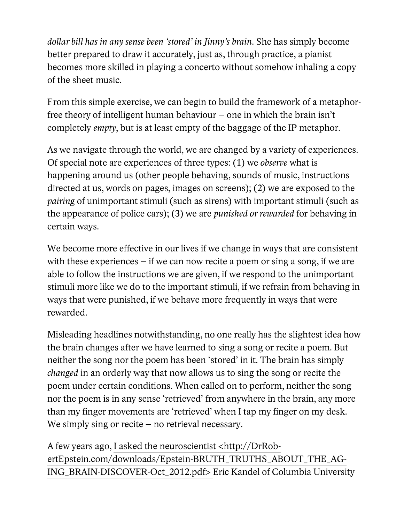*dollar bill has in any sense been 'stored' in Jinny's brain*. She has simply become better prepared to draw it accurately, just as, through practice, a pianist becomes more skilled in playing a concerto without somehow inhaling a copy of the sheet music.

From this simple exercise, we can begin to build the framework of a metaphorfree theory of intelligent human behaviour – one in which the brain isn't completely *empty*, but is at least empty of the baggage of the IP metaphor.

As we navigate through the world, we are changed by a variety of experiences. Of special note are experiences of three types: (1) we *observe* what is happening around us (other people behaving, sounds of music, instructions directed at us, words on pages, images on screens); (2) we are exposed to the *pairing* of unimportant stimuli (such as sirens) with important stimuli (such as the appearance of police cars); (3) we are *punished or rewarded* for behaving in certain ways.

We become more effective in our lives if we change in ways that are consistent with these experiences – if we can now recite a poem or sing a song, if we are able to follow the instructions we are given, if we respond to the unimportant stimuli more like we do to the important stimuli, if we refrain from behaving in ways that were punished, if we behave more frequently in ways that were rewarded.

Misleading headlines notwithstanding, no one really has the slightest idea how the brain changes after we have learned to sing a song or recite a poem. But neither the song nor the poem has been 'stored' in it. The brain has simply *changed* in an orderly way that now allows us to sing the song or recite the poem under certain conditions. When called on to perform, neither the song nor the poem is in any sense 'retrieved' from anywhere in the brain, any more than my finger movements are 'retrieved' when I tap my finger on my desk. We simply sing or recite – no retrieval necessary.

A few years ago, I asked the neuroscientist <http://DrRobertEpstein.com/downloads/Epstein-BRUTH\_TRUTHS\_ABOUT\_THE\_AG-ING\_BRAIN-DISCOVER-Oct\_2012.pdf> Eric Kandel of Columbia University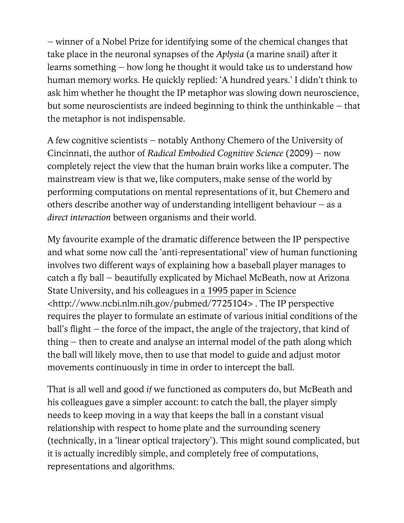– winner of a Nobel Prize for identifying some of the chemical changes that take place in the neuronal synapses of the *Aplysia* (a marine snail) after it learns something – how long he thought it would take us to understand how human memory works. He quickly replied: 'A hundred years.' I didn't think to ask him whether he thought the IP metaphor was slowing down neuroscience, but some neuroscientists are indeed beginning to think the unthinkable – that the metaphor is not indispensable.

A few cognitive scientists – notably Anthony Chemero of the University of Cincinnati, the author of *Radical Embodied Cognitive Science* (2009) – now completely reject the view that the human brain works like a computer. The mainstream view is that we, like computers, make sense of the world by performing computations on mental representations of it, but Chemero and others describe another way of understanding intelligent behaviour – as a *direct interaction* between organisms and their world.

My favourite example of the dramatic difference between the IP perspective and what some now call the 'anti-representational' view of human functioning involves two different ways of explaining how a baseball player manages to catch a fly ball – beautifully explicated by Michael McBeath, now at Arizona State University, and his colleagues in a 1995 paper in Science <http://www.ncbi.nlm.nih.gov/pubmed/7725104> . The IP perspective requires the player to formulate an estimate of various initial conditions of the ball's flight – the force of the impact, the angle of the trajectory, that kind of thing – then to create and analyse an internal model of the path along which the ball will likely move, then to use that model to guide and adjust motor movements continuously in time in order to intercept the ball.

That is all well and good *if* we functioned as computers do, but McBeath and his colleagues gave a simpler account: to catch the ball, the player simply needs to keep moving in a way that keeps the ball in a constant visual relationship with respect to home plate and the surrounding scenery (technically, in a 'linear optical trajectory'). This might sound complicated, but it is actually incredibly simple, and completely free of computations, representations and algorithms.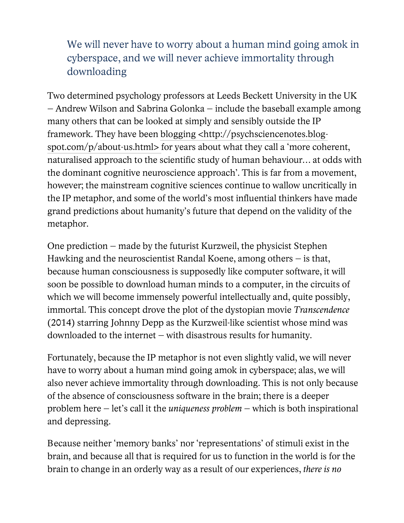## We will never have to worry about a human mind going amok in cyberspace, and we will never achieve immortality through downloading

Two determined psychology professors at Leeds Beckett University in the UK – Andrew Wilson and Sabrina Golonka – include the baseball example among many others that can be looked at simply and sensibly outside the IP framework. They have been blogging <http://psychsciencenotes.blogspot.com/p/about-us.html> for years about what they call a 'more coherent, naturalised approach to the scientific study of human behaviour… at odds with the dominant cognitive neuroscience approach'. This is far from a movement, however; the mainstream cognitive sciences continue to wallow uncritically in the IP metaphor, and some of the world's most influential thinkers have made grand predictions about humanity's future that depend on the validity of the metaphor.

One prediction – made by the futurist Kurzweil, the physicist Stephen Hawking and the neuroscientist Randal Koene, among others – is that, because human consciousness is supposedly like computer software, it will soon be possible to download human minds to a computer, in the circuits of which we will become immensely powerful intellectually and, quite possibly, immortal. This concept drove the plot of the dystopian movie *Transcendence*  (2014) starring Johnny Depp as the Kurzweil-like scientist whose mind was downloaded to the internet – with disastrous results for humanity.

Fortunately, because the IP metaphor is not even slightly valid, we will never have to worry about a human mind going amok in cyberspace; alas, we will also never achieve immortality through downloading. This is not only because of the absence of consciousness software in the brain; there is a deeper problem here – let's call it the *uniqueness problem* – which is both inspirational and depressing.

Because neither 'memory banks' nor 'representations' of stimuli exist in the brain, and because all that is required for us to function in the world is for the brain to change in an orderly way as a result of our experiences, *there is no*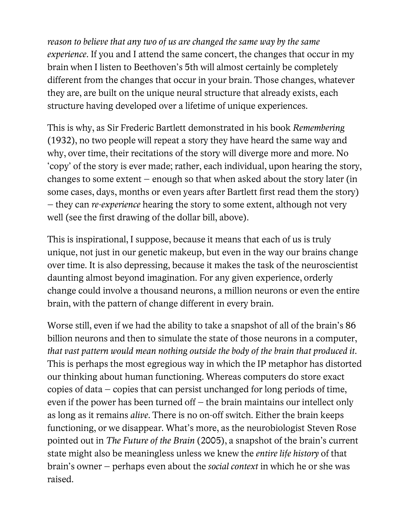*reason to believe that any two of us are changed the same way by the same experience*. If you and I attend the same concert, the changes that occur in my brain when I listen to Beethoven's 5th will almost certainly be completely different from the changes that occur in your brain. Those changes, whatever they are, are built on the unique neural structure that already exists, each structure having developed over a lifetime of unique experiences.

This is why, as Sir Frederic Bartlett demonstrated in his book *Remembering* (1932), no two people will repeat a story they have heard the same way and why, over time, their recitations of the story will diverge more and more. No 'copy' of the story is ever made; rather, each individual, upon hearing the story, changes to some extent – enough so that when asked about the story later (in some cases, days, months or even years after Bartlett first read them the story) – they can *re-experience* hearing the story to some extent, although not very well (see the first drawing of the dollar bill, above).

This is inspirational, I suppose, because it means that each of us is truly unique, not just in our genetic makeup, but even in the way our brains change over time. It is also depressing, because it makes the task of the neuroscientist daunting almost beyond imagination. For any given experience, orderly change could involve a thousand neurons, a million neurons or even the entire brain, with the pattern of change different in every brain.

Worse still, even if we had the ability to take a snapshot of all of the brain's 86 billion neurons and then to simulate the state of those neurons in a computer, *that vast pattern would mean nothing outside the body of the brain that produced it*. This is perhaps the most egregious way in which the IP metaphor has distorted our thinking about human functioning. Whereas computers do store exact copies of data – copies that can persist unchanged for long periods of time, even if the power has been turned off – the brain maintains our intellect only as long as it remains *alive*. There is no on-off switch. Either the brain keeps functioning, or we disappear. What's more, as the neurobiologist Steven Rose pointed out in *The Future of the Brain* (2005), a snapshot of the brain's current state might also be meaningless unless we knew the *entire life history* of that brain's owner – perhaps even about the *social context* in which he or she was raised.